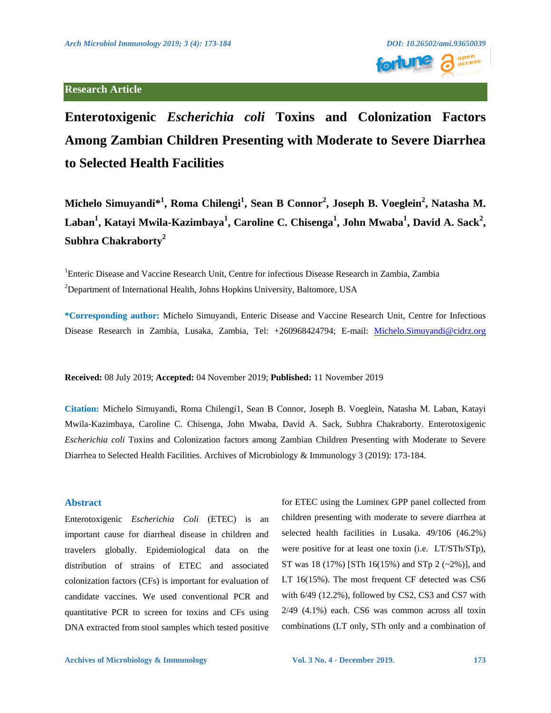

# **Enterotoxigenic** *Escherichia coli* **Toxins and Colonization Factors Among Zambian Children Presenting with Moderate to Severe Diarrhea to Selected Health Facilities**

**Michelo Simuyandi\*<sup>1</sup> , Roma Chilengi<sup>1</sup> , Sean B Connor<sup>2</sup> , Joseph B. Voeglein<sup>2</sup> , Natasha M. Laban<sup>1</sup> , Katayi Mwila-Kazimbaya<sup>1</sup> , Caroline C. Chisenga<sup>1</sup> , John Mwaba<sup>1</sup> , David A. Sack<sup>2</sup> , Subhra Chakraborty<sup>2</sup>**

<sup>1</sup>Enteric Disease and Vaccine Research Unit, Centre for infectious Disease Research in Zambia, Zambia <sup>2</sup>Department of International Health, Johns Hopkins University, Baltomore, USA

**\*Corresponding author:** Michelo Simuyandi, Enteric Disease and Vaccine Research Unit, Centre for Infectious Disease Research in Zambia, Lusaka, Zambia, Tel: +260968424794; E-mail: [Michelo.Simuyandi@cidrz.org](mailto:Michelo.Simuyandi@cidrz.org)

**Received:** 08 July 2019; **Accepted:** 04 November 2019; **Published:** 11 November 2019

**Citation:** Michelo Simuyandi, Roma Chilengi1, Sean B Connor, Joseph B. Voeglein, Natasha M. Laban, Katayi Mwila-Kazimbaya, Caroline C. Chisenga, John Mwaba, David A. Sack, Subhra Chakraborty. Enterotoxigenic *Escherichia coli* Toxins and Colonization factors among Zambian Children Presenting with Moderate to Severe Diarrhea to Selected Health Facilities. Archives of Microbiology & Immunology 3 (2019): 173-184.

#### **Abstract**

Enterotoxigenic *Escherichia Coli* (ETEC) is an important cause for diarrheal disease in children and travelers globally. Epidemiological data on the distribution of strains of ETEC and associated colonization factors (CFs) is important for evaluation of candidate vaccines. We used conventional PCR and quantitative PCR to screen for toxins and CFs using DNA extracted from stool samples which tested positive for ETEC using the Luminex GPP panel collected from children presenting with moderate to severe diarrhea at selected health facilities in Lusaka. 49/106 (46.2%) were positive for at least one toxin (i.e. LT/STh/STp), ST was 18 (17%) [STh 16(15%) and STp 2 (~2%)], and LT 16(15%). The most frequent CF detected was CS6 with 6/49 (12.2%), followed by CS2, CS3 and CS7 with 2/49 (4.1%) each. CS6 was common across all toxin combinations (LT only, STh only and a combination of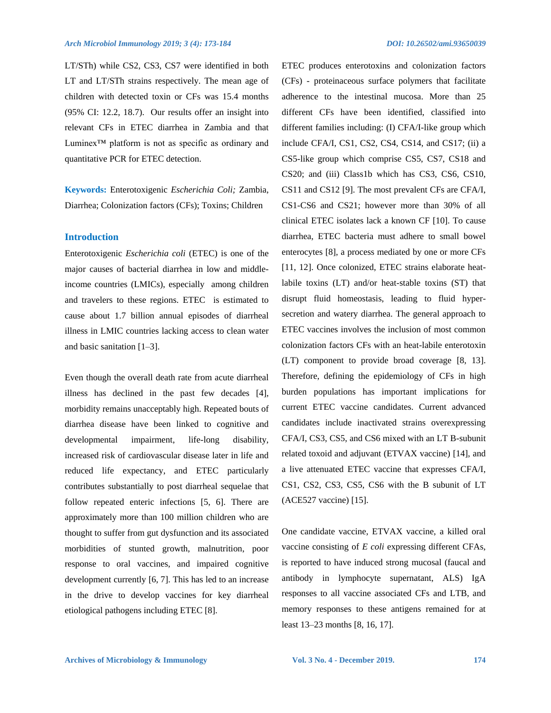LT/STh) while CS2, CS3, CS7 were identified in both LT and LT/STh strains respectively. The mean age of children with detected toxin or CFs was 15.4 months (95% CI: 12.2, 18.7). Our results offer an insight into relevant CFs in ETEC diarrhea in Zambia and that Luminex™ platform is not as specific as ordinary and quantitative PCR for ETEC detection.

**Keywords:** Enterotoxigenic *Escherichia Coli;* Zambia, Diarrhea; Colonization factors (CFs); Toxins; Children

## **Introduction**

Enterotoxigenic *Escherichia coli* (ETEC) is one of the major causes of bacterial diarrhea in low and middleincome countries (LMICs), especially among children and travelers to these regions. ETEC is estimated to cause about 1.7 billion annual episodes of diarrheal illness in LMIC countries lacking access to clean water and basic sanitation [1–3].

Even though the overall death rate from acute diarrheal illness has declined in the past few decades [4], morbidity remains unacceptably high. Repeated bouts of diarrhea disease have been linked to cognitive and developmental impairment, life-long disability, increased risk of cardiovascular disease later in life and reduced life expectancy, and ETEC particularly contributes substantially to post diarrheal sequelae that follow repeated enteric infections [5, 6]. There are approximately more than 100 million children who are thought to suffer from gut dysfunction and its associated morbidities of stunted growth, malnutrition, poor response to oral vaccines, and impaired cognitive development currently [6, 7]. This has led to an increase in the drive to develop vaccines for key diarrheal etiological pathogens including ETEC [8].

ETEC produces enterotoxins and colonization factors (CFs) - proteinaceous surface polymers that facilitate adherence to the intestinal mucosa. More than 25 different CFs have been identified, classified into different families including: (I) CFA/I-like group which include CFA/I, CS1, CS2, CS4, CS14, and CS17; (ii) a CS5-like group which comprise CS5, CS7, CS18 and CS20; and (iii) Class1b which has CS3, CS6, CS10, CS11 and CS12 [9]. The most prevalent CFs are CFA/I, CS1-CS6 and CS21; however more than 30% of all clinical ETEC isolates lack a known CF [10]. To cause diarrhea, ETEC bacteria must adhere to small bowel enterocytes [8], a process mediated by one or more CFs [11, 12]. Once colonized, ETEC strains elaborate heatlabile toxins (LT) and/or heat-stable toxins (ST) that disrupt fluid homeostasis, leading to fluid hypersecretion and watery diarrhea. The general approach to ETEC vaccines involves the inclusion of most common colonization factors CFs with an heat-labile enterotoxin (LT) component to provide broad coverage [8, 13]. Therefore, defining the epidemiology of CFs in high burden populations has important implications for current ETEC vaccine candidates. Current advanced candidates include inactivated strains overexpressing CFA/I, CS3, CS5, and CS6 mixed with an LT B-subunit related toxoid and adjuvant (ETVAX vaccine) [14], and a live attenuated ETEC vaccine that expresses CFA/I, CS1, CS2, CS3, CS5, CS6 with the B subunit of LT (ACE527 vaccine) [15].

One candidate vaccine, ETVAX vaccine, a killed oral vaccine consisting of *E coli* expressing different CFAs, is reported to have induced strong mucosal (faucal and antibody in lymphocyte supernatant, ALS) IgA responses to all vaccine associated CFs and LTB, and memory responses to these antigens remained for at least 13–23 months [8, 16, 17].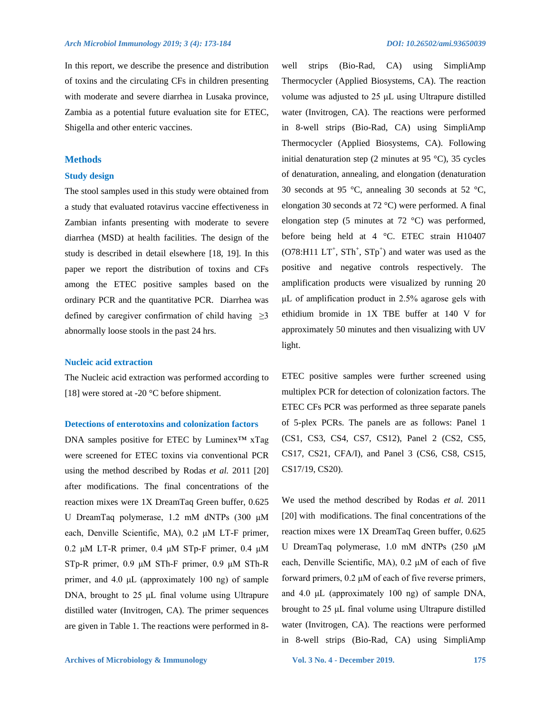In this report, we describe the presence and distribution of toxins and the circulating CFs in children presenting with moderate and severe diarrhea in Lusaka province, Zambia as a potential future evaluation site for ETEC, Shigella and other enteric vaccines.

## **Methods**

## **Study design**

The stool samples used in this study were obtained from a study that evaluated rotavirus vaccine effectiveness in Zambian infants presenting with moderate to severe diarrhea (MSD) at health facilities. The design of the study is described in detail elsewhere [18, 19]. In this paper we report the distribution of toxins and CFs among the ETEC positive samples based on the ordinary PCR and the quantitative PCR. Diarrhea was defined by caregiver confirmation of child having  $\geq$ 3 abnormally loose stools in the past 24 hrs.

## **Nucleic acid extraction**

The Nucleic acid extraction was performed according to [18] were stored at -20 °C before shipment.

## **Detections of enterotoxins and colonization factors**

DNA samples positive for ETEC by Luminex™ xTag were screened for ETEC toxins via conventional PCR using the method described by Rodas *et al.* 2011 [20] after modifications. The final concentrations of the reaction mixes were 1X DreamTaq Green buffer, 0.625 U DreamTaq polymerase, 1.2 mM dNTPs (300 μM each, Denville Scientific, MA), 0.2 μM LT-F primer, 0.2 μM LT-R primer, 0.4 μM STp-F primer, 0.4 μM STp-R primer, 0.9 μM STh-F primer, 0.9 μM STh-R primer, and 4.0 μL (approximately 100 ng) of sample DNA, brought to 25 μL final volume using Ultrapure distilled water (Invitrogen, CA). The primer sequences are given in Table 1. The reactions were performed in 8Thermocycler (Applied Biosystems, CA). The reaction volume was adjusted to 25 μL using Ultrapure distilled water (Invitrogen, CA). The reactions were performed in 8-well strips (Bio-Rad, CA) using SimpliAmp Thermocycler (Applied Biosystems, CA). Following initial denaturation step (2 minutes at 95  $^{\circ}$ C), 35 cycles of denaturation, annealing, and elongation (denaturation 30 seconds at 95 °C, annealing 30 seconds at 52 °C, elongation 30 seconds at 72 °C) were performed. A final elongation step (5 minutes at 72 °C) was performed, before being held at 4 °C. ETEC strain H10407  $(O78: H11 L T<sup>+</sup>, STh<sup>+</sup>, STp<sup>+</sup>)$  and water was used as the positive and negative controls respectively. The amplification products were visualized by running 20 μL of amplification product in 2.5% agarose gels with ethidium bromide in 1X TBE buffer at 140 V for approximately 50 minutes and then visualizing with UV light.

well strips (Bio-Rad, CA) using SimpliAmp

ETEC positive samples were further screened using multiplex PCR for detection of colonization factors. The ETEC CFs PCR was performed as three separate panels of 5-plex PCRs. The panels are as follows: Panel 1 (CS1, CS3, CS4, CS7, CS12), Panel 2 (CS2, CS5, CS17, CS21, CFA/I), and Panel 3 (CS6, CS8, CS15, CS17/19, CS20).

We used the method described by Rodas *et al.* 2011 [20] with modifications. The final concentrations of the reaction mixes were 1X DreamTaq Green buffer, 0.625 U DreamTaq polymerase, 1.0 mM dNTPs (250 μM each, Denville Scientific, MA), 0.2 μM of each of five forward primers, 0.2 μM of each of five reverse primers, and 4.0 μL (approximately 100 ng) of sample DNA, brought to 25 μL final volume using Ultrapure distilled water (Invitrogen, CA). The reactions were performed in 8-well strips (Bio-Rad, CA) using SimpliAmp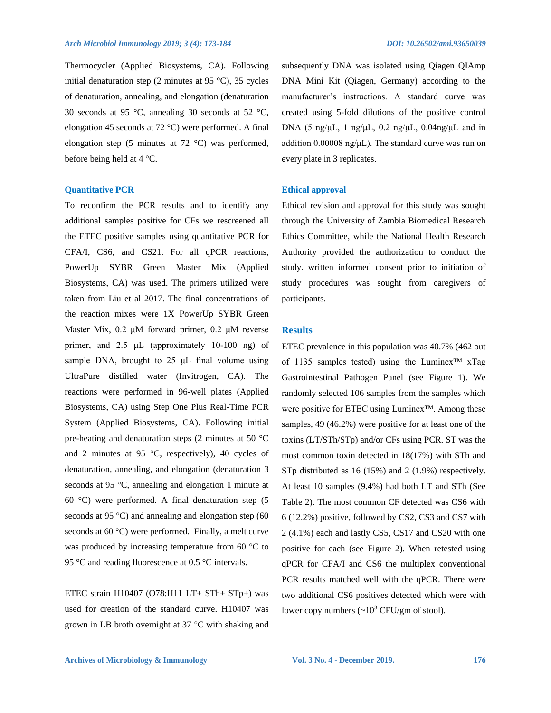Thermocycler (Applied Biosystems, CA). Following initial denaturation step (2 minutes at 95 °C), 35 cycles of denaturation, annealing, and elongation (denaturation 30 seconds at 95 °C, annealing 30 seconds at 52 °C, elongation 45 seconds at 72 °C) were performed. A final elongation step (5 minutes at 72 °C) was performed, before being held at 4 °C.

#### **Quantitative PCR**

To reconfirm the PCR results and to identify any additional samples positive for CFs we rescreened all the ETEC positive samples using quantitative PCR for CFA/I, CS6, and CS21. For all qPCR reactions, PowerUp SYBR Green Master Mix (Applied Biosystems, CA) was used. The primers utilized were taken from Liu et al 2017. The final concentrations of the reaction mixes were 1X PowerUp SYBR Green Master Mix, 0.2 μM forward primer, 0.2 μM reverse primer, and 2.5 μL (approximately 10-100 ng) of sample DNA, brought to  $25 \mu L$  final volume using UltraPure distilled water (Invitrogen, CA). The reactions were performed in 96-well plates (Applied Biosystems, CA) using Step One Plus Real-Time PCR System (Applied Biosystems, CA). Following initial pre-heating and denaturation steps (2 minutes at 50 °C and 2 minutes at 95 °C, respectively), 40 cycles of denaturation, annealing, and elongation (denaturation 3 seconds at 95 °C, annealing and elongation 1 minute at 60 °C) were performed. A final denaturation step (5 seconds at 95  $^{\circ}$ C) and annealing and elongation step (60 seconds at 60 °C) were performed. Finally, a melt curve was produced by increasing temperature from 60 °C to 95 °C and reading fluorescence at 0.5 °C intervals.

ETEC strain H10407 (O78:H11 LT+ STh+ STp+) was used for creation of the standard curve. H10407 was grown in LB broth overnight at 37 °C with shaking and

subsequently DNA was isolated using Qiagen QIAmp DNA Mini Kit (Qiagen, Germany) according to the manufacturer's instructions. A standard curve was created using 5-fold dilutions of the positive control DNA (5 ng/μL, 1 ng/μL, 0.2 ng/μL, 0.04ng/μL and in addition 0.00008 ng/μL). The standard curve was run on

#### **Ethical approval**

every plate in 3 replicates.

Ethical revision and approval for this study was sought through the University of Zambia Biomedical Research Ethics Committee, while the National Health Research Authority provided the authorization to conduct the study. written informed consent prior to initiation of study procedures was sought from caregivers of participants.

## **Results**

ETEC prevalence in this population was 40.7% (462 out of 1135 samples tested) using the Luminex™ xTag Gastrointestinal Pathogen Panel (see Figure 1). We randomly selected 106 samples from the samples which were positive for ETEC using Luminex™. Among these samples, 49 (46.2%) were positive for at least one of the toxins (LT/STh/STp) and/or CFs using PCR. ST was the most common toxin detected in 18(17%) with STh and STp distributed as 16 (15%) and 2 (1.9%) respectively. At least 10 samples (9.4%) had both LT and STh (See Table 2). The most common CF detected was CS6 with 6 (12.2%) positive, followed by CS2, CS3 and CS7 with 2 (4.1%) each and lastly CS5, CS17 and CS20 with one positive for each (see Figure 2). When retested using qPCR for CFA/I and CS6 the multiplex conventional PCR results matched well with the qPCR. There were two additional CS6 positives detected which were with lower copy numbers  $({\sim}10^3 \text{ CFU/gm of }$  stool).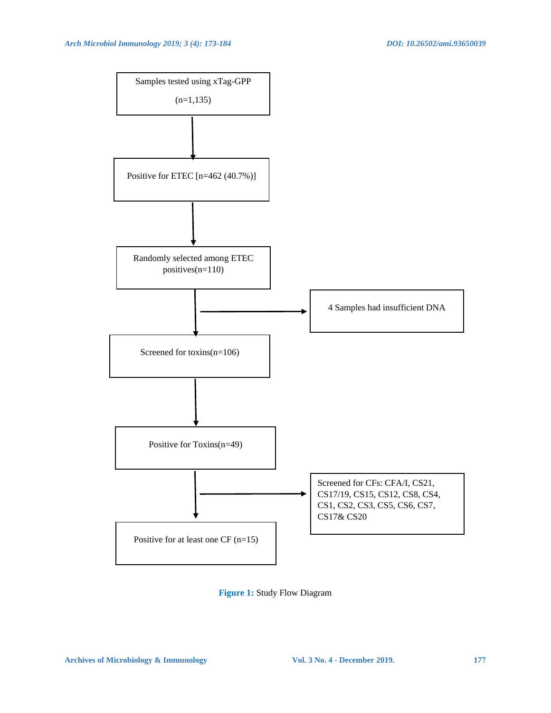

**Figure 1:** Study Flow Diagram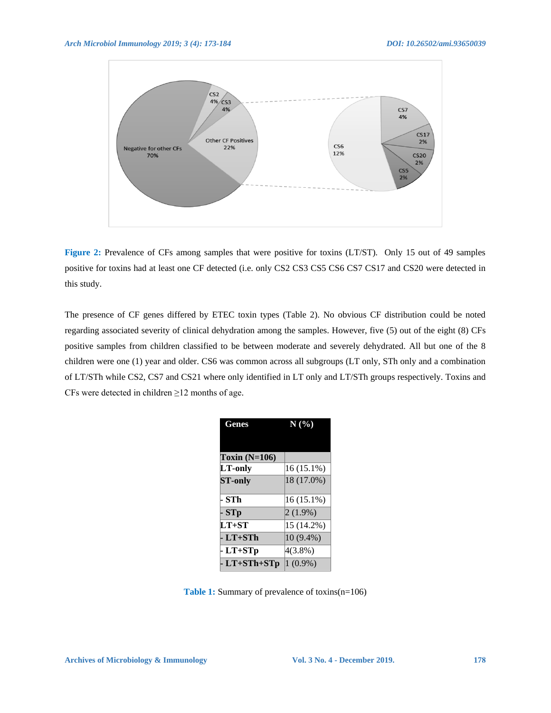

**Figure 2:** Prevalence of CFs among samples that were positive for toxins (LT/ST). Only 15 out of 49 samples positive for toxins had at least one CF detected (i.e. only CS2 CS3 CS5 CS6 CS7 CS17 and CS20 were detected in this study.

The presence of CF genes differed by ETEC toxin types (Table 2). No obvious CF distribution could be noted regarding associated severity of clinical dehydration among the samples. However, five (5) out of the eight (8) CFs positive samples from children classified to be between moderate and severely dehydrated. All but one of the 8 children were one (1) year and older. CS6 was common across all subgroups (LT only, STh only and a combination of LT/STh while CS2, CS7 and CS21 where only identified in LT only and LT/STh groups respectively. Toxins and CFs were detected in children  $\geq$ 12 months of age.

| Genes           | N(%)         |  |  |  |  |  |
|-----------------|--------------|--|--|--|--|--|
|                 |              |  |  |  |  |  |
| Toxin $(N=106)$ |              |  |  |  |  |  |
| LT-only         | $16(15.1\%)$ |  |  |  |  |  |
| <b>ST-only</b>  | 18 (17.0%)   |  |  |  |  |  |
|                 |              |  |  |  |  |  |
| · STh           | $16(15.1\%)$ |  |  |  |  |  |
| - STp           | $2(1.9\%)$   |  |  |  |  |  |
| $LT+ST$         | 15 (14.2%)   |  |  |  |  |  |
| - LT+STh        | 10 (9.4%)    |  |  |  |  |  |
| - LT+STp        | $4(3.8\%)$   |  |  |  |  |  |
| - LT+STh+STp    | $1(0.9\%)$   |  |  |  |  |  |

Table 1: Summary of prevalence of toxins(n=106)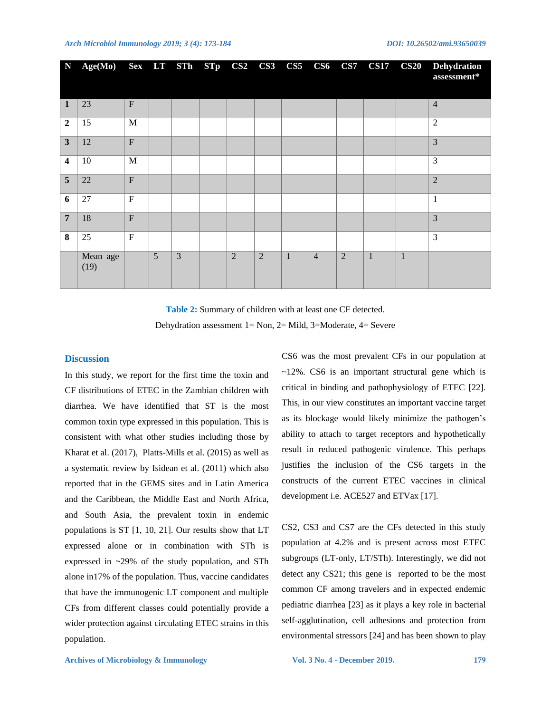| $\mathbf N$             | Age(Mo) Sex LT STh STp CS2 CS3 CS5 CS6 CS7 |                |   |   |            |                |              |                |                | <b>CS17</b>  | $\textcolor{blue}{\textbf{CS20}}$ | <b>Dehydration</b><br>assessment* |
|-------------------------|--------------------------------------------|----------------|---|---|------------|----------------|--------------|----------------|----------------|--------------|-----------------------------------|-----------------------------------|
| 1                       | 23                                         | $\mathbf{F}$   |   |   |            |                |              |                |                |              |                                   | $\overline{4}$                    |
| $\overline{2}$          | 15                                         | M              |   |   |            |                |              |                |                |              |                                   | $\overline{2}$                    |
| $\mathbf{3}$            | 12                                         | $\overline{F}$ |   |   |            |                |              |                |                |              |                                   | 3                                 |
| $\overline{\mathbf{4}}$ | 10                                         | M              |   |   |            |                |              |                |                |              |                                   | 3                                 |
| 5 <sup>5</sup>          | 22                                         | $\overline{F}$ |   |   |            |                |              |                |                |              |                                   | $\overline{2}$                    |
| 6                       | 27                                         | ${\bf F}$      |   |   |            |                |              |                |                |              |                                   | 1                                 |
| $\overline{7}$          | 18                                         | $\overline{F}$ |   |   |            |                |              |                |                |              |                                   | 3                                 |
| 8                       | 25                                         | $\mathbf{F}$   |   |   |            |                |              |                |                |              |                                   | 3                                 |
|                         | Mean age<br>(19)                           |                | 5 | 3 | $\sqrt{2}$ | $\overline{2}$ | $\mathbf{1}$ | $\overline{4}$ | $\overline{2}$ | $\mathbf{1}$ | $\mathbf{1}$                      |                                   |

**Table 2:** Summary of children with at least one CF detected. Dehydration assessment 1= Non, 2= Mild, 3=Moderate, 4= Severe

#### **Discussion**

In this study, we report for the first time the toxin and CF distributions of ETEC in the Zambian children with diarrhea. We have identified that ST is the most common toxin type expressed in this population. This is consistent with what other studies including those by Kharat et al. (2017), Platts-Mills et al. (2015) as well as a systematic review by Isidean et al. (2011) which also reported that in the GEMS sites and in Latin America and the Caribbean, the Middle East and North Africa, and South Asia, the prevalent toxin in endemic populations is ST [1, 10, 21]. Our results show that LT expressed alone or in combination with STh is expressed in ~29% of the study population, and STh alone in17% of the population. Thus, vaccine candidates that have the immunogenic LT component and multiple CFs from different classes could potentially provide a wider protection against circulating ETEC strains in this population.

CS6 was the most prevalent CFs in our population at ~12%. CS6 is an important structural gene which is critical in binding and pathophysiology of ETEC [22]. This, in our view constitutes an important vaccine target as its blockage would likely minimize the pathogen's ability to attach to target receptors and hypothetically result in reduced pathogenic virulence. This perhaps justifies the inclusion of the CS6 targets in the constructs of the current ETEC vaccines in clinical development i.e. ACE527 and ETVax [17].

CS2, CS3 and CS7 are the CFs detected in this study population at 4.2% and is present across most ETEC subgroups (LT-only, LT/STh). Interestingly, we did not detect any CS21; this gene is reported to be the most common CF among travelers and in expected endemic pediatric diarrhea [23] as it plays a key role in bacterial self-agglutination, cell adhesions and protection from environmental stressors [24] and has been shown to play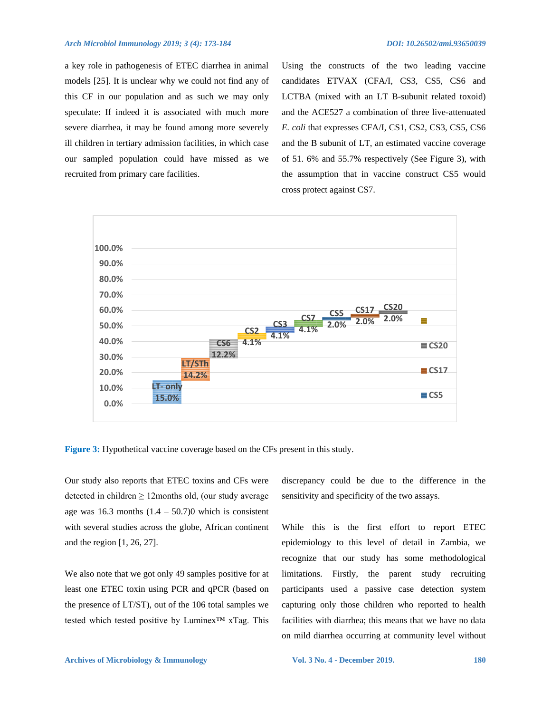a key role in pathogenesis of ETEC diarrhea in animal models [25]. It is unclear why we could not find any of this CF in our population and as such we may only speculate: If indeed it is associated with much more severe diarrhea, it may be found among more severely ill children in tertiary admission facilities, in which case our sampled population could have missed as we recruited from primary care facilities.

Using the constructs of the two leading vaccine candidates ETVAX (CFA/I, CS3, CS5, CS6 and LCTBA (mixed with an LT B-subunit related toxoid) and the ACE527 a combination of three live-attenuated *E. coli* that expresses CFA/I, CS1, CS2, CS3, CS5, CS6 and the B subunit of LT, an estimated vaccine coverage of 51. 6% and 55.7% respectively (See Figure 3), with the assumption that in vaccine construct CS5 would cross protect against CS7.



**Figure 3:** Hypothetical vaccine coverage based on the CFs present in this study.

Our study also reports that ETEC toxins and CFs were detected in children  $\geq 12$ months old, (our study average age was 16.3 months  $(1.4 - 50.7)0$  which is consistent with several studies across the globe, African continent and the region [1, 26, 27].

We also note that we got only 49 samples positive for at least one ETEC toxin using PCR and qPCR (based on the presence of LT/ST), out of the 106 total samples we tested which tested positive by Luminex™ xTag. This discrepancy could be due to the difference in the sensitivity and specificity of the two assays.

While this is the first effort to report ETEC epidemiology to this level of detail in Zambia, we recognize that our study has some methodological limitations. Firstly, the parent study recruiting participants used a passive case detection system capturing only those children who reported to health facilities with diarrhea; this means that we have no data on mild diarrhea occurring at community level without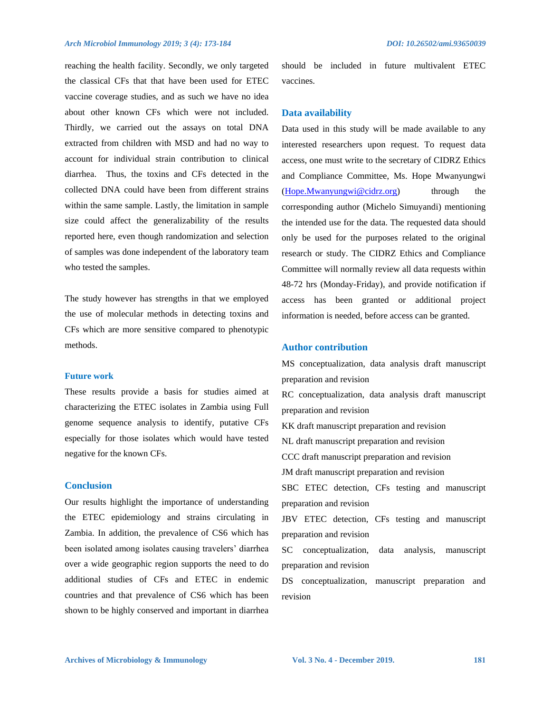reaching the health facility. Secondly, we only targeted the classical CFs that that have been used for ETEC vaccine coverage studies, and as such we have no idea about other known CFs which were not included. Thirdly, we carried out the assays on total DNA extracted from children with MSD and had no way to account for individual strain contribution to clinical diarrhea. Thus, the toxins and CFs detected in the collected DNA could have been from different strains within the same sample. Lastly, the limitation in sample size could affect the generalizability of the results reported here, even though randomization and selection of samples was done independent of the laboratory team who tested the samples.

The study however has strengths in that we employed the use of molecular methods in detecting toxins and CFs which are more sensitive compared to phenotypic methods.

# **Future work**

These results provide a basis for studies aimed at characterizing the ETEC isolates in Zambia using Full genome sequence analysis to identify, putative CFs especially for those isolates which would have tested negative for the known CFs.

## **Conclusion**

Our results highlight the importance of understanding the ETEC epidemiology and strains circulating in Zambia. In addition, the prevalence of CS6 which has been isolated among isolates causing travelers' diarrhea over a wide geographic region supports the need to do additional studies of CFs and ETEC in endemic countries and that prevalence of CS6 which has been shown to be highly conserved and important in diarrhea

should be included in future multivalent ETEC vaccines.

#### **Data availability**

Data used in this study will be made available to any interested researchers upon request. To request data access, one must write to the secretary of CIDRZ Ethics and Compliance Committee, Ms. Hope Mwanyungwi  $(Hope.Mwanyungwi@cidrz.org)$  through the corresponding author (Michelo Simuyandi) mentioning the intended use for the data. The requested data should only be used for the purposes related to the original research or study. The CIDRZ Ethics and Compliance Committee will normally review all data requests within 48-72 hrs (Monday-Friday), and provide notification if access has been granted or additional project information is needed, before access can be granted.

## **Author contribution**

MS conceptualization, data analysis draft manuscript preparation and revision RC conceptualization, data analysis draft manuscript preparation and revision KK draft manuscript preparation and revision NL draft manuscript preparation and revision CCC draft manuscript preparation and revision JM draft manuscript preparation and revision SBC ETEC detection, CFs testing and manuscript preparation and revision JBV ETEC detection, CFs testing and manuscript preparation and revision SC conceptualization, data analysis, manuscript preparation and revision DS conceptualization, manuscript preparation and revision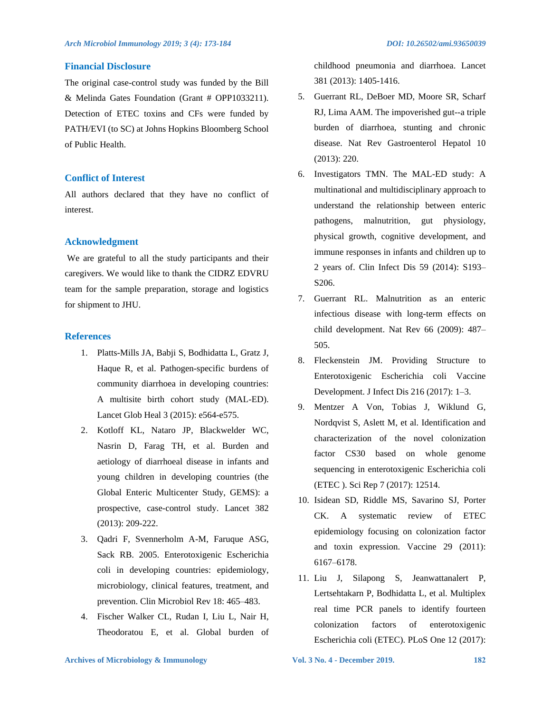## **Financial Disclosure**

The original case-control study was funded by the Bill & Melinda Gates Foundation (Grant # OPP1033211). Detection of ETEC toxins and CFs were funded by PATH/EVI (to SC) at Johns Hopkins Bloomberg School of Public Health.

## **Conflict of Interest**

All authors declared that they have no conflict of interest.

## **Acknowledgment**

We are grateful to all the study participants and their caregivers. We would like to thank the CIDRZ EDVRU team for the sample preparation, storage and logistics for shipment to JHU.

## **References**

- 1. Platts-Mills JA, Babji S, Bodhidatta L, Gratz J, Haque R, et al. Pathogen-specific burdens of community diarrhoea in developing countries: A multisite birth cohort study (MAL-ED). Lancet Glob Heal 3 (2015): e564-e575.
- 2. Kotloff KL, Nataro JP, Blackwelder WC, Nasrin D, Farag TH, et al. Burden and aetiology of diarrhoeal disease in infants and young children in developing countries (the Global Enteric Multicenter Study, GEMS): a prospective, case-control study. Lancet 382 (2013): 209-222.
- 3. Qadri F, Svennerholm A-M, Faruque ASG, Sack RB. 2005. Enterotoxigenic Escherichia coli in developing countries: epidemiology, microbiology, clinical features, treatment, and prevention. Clin Microbiol Rev 18: 465–483.
- 4. Fischer Walker CL, Rudan I, Liu L, Nair H, Theodoratou E, et al. Global burden of

childhood pneumonia and diarrhoea. Lancet 381 (2013): 1405-1416.

- 5. Guerrant RL, DeBoer MD, Moore SR, Scharf RJ, Lima AAM. The impoverished gut--a triple burden of diarrhoea, stunting and chronic disease. Nat Rev Gastroenterol Hepatol 10 (2013): 220.
- 6. Investigators TMN. The MAL-ED study: A multinational and multidisciplinary approach to understand the relationship between enteric pathogens, malnutrition, gut physiology, physical growth, cognitive development, and immune responses in infants and children up to 2 years of. Clin Infect Dis 59 (2014): S193– S206.
- 7. Guerrant RL. Malnutrition as an enteric infectious disease with long-term effects on child development. Nat Rev 66 (2009): 487– 505.
- 8. Fleckenstein JM. Providing Structure to Enterotoxigenic Escherichia coli Vaccine Development. J Infect Dis 216 (2017): 1–3.
- 9. Mentzer A Von, Tobias J, Wiklund G, Nordqvist S, Aslett M, et al. Identification and characterization of the novel colonization factor CS30 based on whole genome sequencing in enterotoxigenic Escherichia coli (ETEC ). Sci Rep 7 (2017): 12514.
- 10. Isidean SD, Riddle MS, Savarino SJ, Porter CK. A systematic review of ETEC epidemiology focusing on colonization factor and toxin expression. Vaccine 29 (2011): 6167–6178.
- 11. Liu J, Silapong S, Jeanwattanalert P, Lertsehtakarn P, Bodhidatta L, et al. Multiplex real time PCR panels to identify fourteen colonization factors of enterotoxigenic Escherichia coli (ETEC). PLoS One 12 (2017):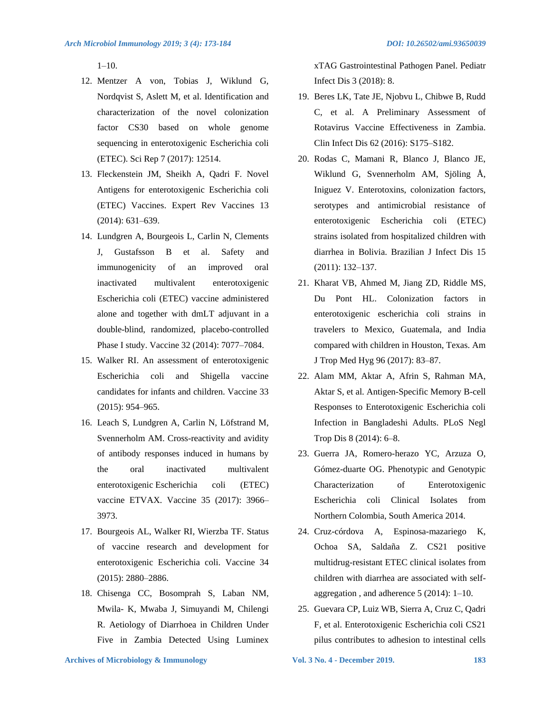1–10.

- 12. Mentzer A von, Tobias J, Wiklund G, Nordqvist S, Aslett M, et al. Identification and characterization of the novel colonization factor CS30 based on whole genome sequencing in enterotoxigenic Escherichia coli (ETEC). Sci Rep 7 (2017): 12514.
- 13. Fleckenstein JM, Sheikh A, Qadri F. Novel Antigens for enterotoxigenic Escherichia coli (ETEC) Vaccines. Expert Rev Vaccines 13 (2014): 631–639.
- 14. Lundgren A, Bourgeois L, Carlin N, Clements J, Gustafsson B et al. Safety and immunogenicity of an improved oral inactivated multivalent enterotoxigenic Escherichia coli (ETEC) vaccine administered alone and together with dmLT adjuvant in a double-blind, randomized, placebo-controlled Phase I study. Vaccine 32 (2014): 7077–7084.
- 15. Walker RI. An assessment of enterotoxigenic Escherichia coli and Shigella vaccine candidates for infants and children. Vaccine 33 (2015): 954–965.
- 16. Leach S, Lundgren A, Carlin N, Löfstrand M, Svennerholm AM. Cross-reactivity and avidity of antibody responses induced in humans by the oral inactivated multivalent enterotoxigenic Escherichia coli (ETEC) vaccine ETVAX. Vaccine 35 (2017): 3966– 3973.
- 17. Bourgeois AL, Walker RI, Wierzba TF. Status of vaccine research and development for enterotoxigenic Escherichia coli. Vaccine 34 (2015): 2880–2886.
- 18. Chisenga CC, Bosomprah S, Laban NM, Mwila- K, Mwaba J, Simuyandi M, Chilengi R. Aetiology of Diarrhoea in Children Under Five in Zambia Detected Using Luminex

xTAG Gastrointestinal Pathogen Panel. Pediatr Infect Dis 3 (2018): 8.

- 19. Beres LK, Tate JE, Njobvu L, Chibwe B, Rudd C, et al. A Preliminary Assessment of Rotavirus Vaccine Effectiveness in Zambia. Clin Infect Dis 62 (2016): S175–S182.
- 20. Rodas C, Mamani R, Blanco J, Blanco JE, Wiklund G, Svennerholm AM, Sjöling Å, Iniguez V. Enterotoxins, colonization factors, serotypes and antimicrobial resistance of enterotoxigenic Escherichia coli (ETEC) strains isolated from hospitalized children with diarrhea in Bolivia. Brazilian J Infect Dis 15 (2011): 132–137.
- 21. Kharat VB, Ahmed M, Jiang ZD, Riddle MS, Du Pont HL. Colonization factors in enterotoxigenic escherichia coli strains in travelers to Mexico, Guatemala, and India compared with children in Houston, Texas. Am J Trop Med Hyg 96 (2017): 83–87.
- 22. Alam MM, Aktar A, Afrin S, Rahman MA, Aktar S, et al. Antigen-Specific Memory B-cell Responses to Enterotoxigenic Escherichia coli Infection in Bangladeshi Adults. PLoS Negl Trop Dis 8 (2014): 6–8.
- 23. Guerra JA, Romero-herazo YC, Arzuza O, Gómez-duarte OG. Phenotypic and Genotypic Characterization of Enterotoxigenic Escherichia coli Clinical Isolates from Northern Colombia, South America 2014.
- 24. Cruz-córdova A, Espinosa-mazariego K, Ochoa SA, Saldaña Z. CS21 positive multidrug-resistant ETEC clinical isolates from children with diarrhea are associated with selfaggregation , and adherence 5 (2014): 1–10.
- 25. Guevara CP, Luiz WB, Sierra A, Cruz C, Qadri F, et al. Enterotoxigenic Escherichia coli CS21 pilus contributes to adhesion to intestinal cells